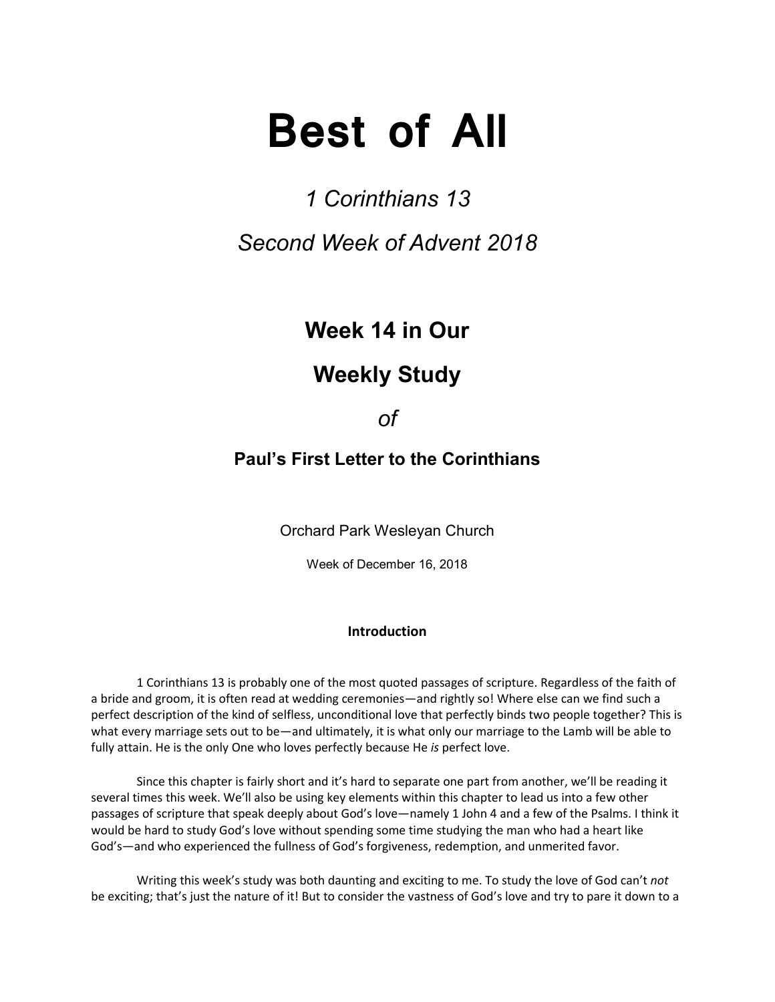# **Best of All**

# *1 Corinthians 13 Second Week of Advent 2018*

# **Week 14 in Our**

## **Weekly Study**

### *of*

### **Paul's First Letter to the Corinthians**

Orchard Park Wesleyan Church

Week of December 16, 2018

#### **Introduction**

1 Corinthians 13 is probably one of the most quoted passages of scripture. Regardless of the faith of a bride and groom, it is often read at wedding ceremonies—and rightly so! Where else can we find such a perfect description of the kind of selfless, unconditional love that perfectly binds two people together? This is what every marriage sets out to be—and ultimately, it is what only our marriage to the Lamb will be able to fully attain. He is the only One who loves perfectly because He *is* perfect love.

Since this chapter is fairly short and it's hard to separate one part from another, we'll be reading it several times this week. We'll also be using key elements within this chapter to lead us into a few other passages of scripture that speak deeply about God's love—namely 1 John 4 and a few of the Psalms. I think it would be hard to study God's love without spending some time studying the man who had a heart like God's—and who experienced the fullness of God's forgiveness, redemption, and unmerited favor.

Writing this week's study was both daunting and exciting to me. To study the love of God can't *not* be exciting; that's just the nature of it! But to consider the vastness of God's love and try to pare it down to a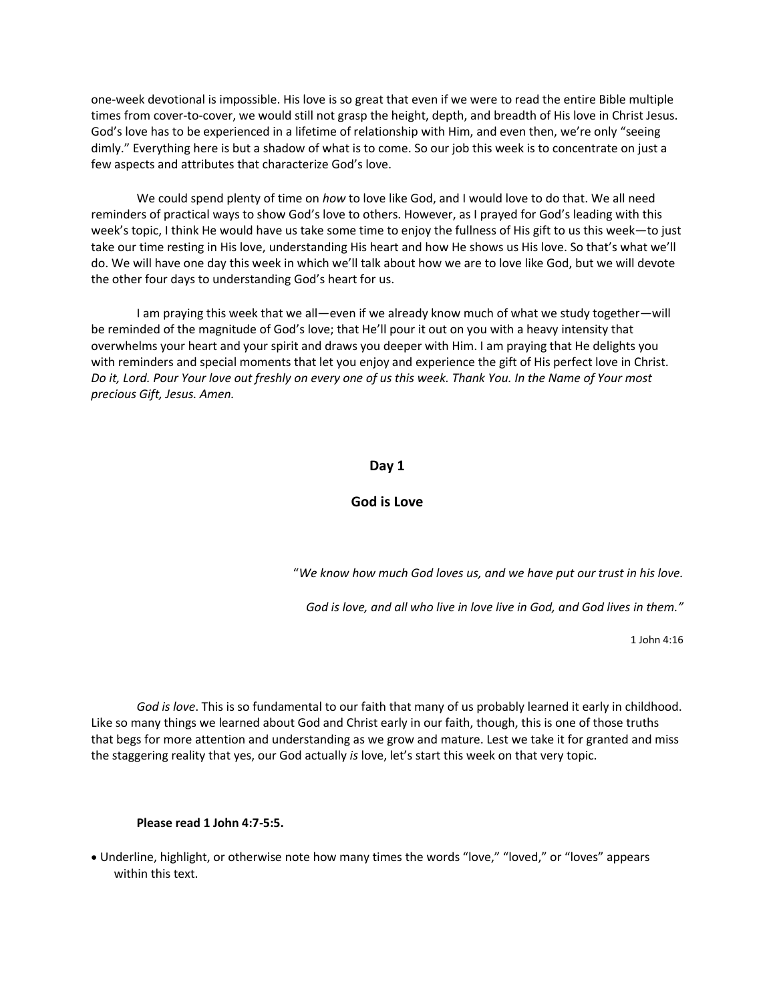one-week devotional is impossible. His love is so great that even if we were to read the entire Bible multiple times from cover-to-cover, we would still not grasp the height, depth, and breadth of His love in Christ Jesus. God's love has to be experienced in a lifetime of relationship with Him, and even then, we're only "seeing dimly." Everything here is but a shadow of what is to come. So our job this week is to concentrate on just a few aspects and attributes that characterize God's love.

We could spend plenty of time on *how* to love like God, and I would love to do that. We all need reminders of practical ways to show God's love to others. However, as I prayed for God's leading with this week's topic, I think He would have us take some time to enjoy the fullness of His gift to us this week—to just take our time resting in His love, understanding His heart and how He shows us His love. So that's what we'll do. We will have one day this week in which we'll talk about how we are to love like God, but we will devote the other four days to understanding God's heart for us.

I am praying this week that we all—even if we already know much of what we study together—will be reminded of the magnitude of God's love; that He'll pour it out on you with a heavy intensity that overwhelms your heart and your spirit and draws you deeper with Him. I am praying that He delights you with reminders and special moments that let you enjoy and experience the gift of His perfect love in Christ. *Do it, Lord. Pour Your love out freshly on every one of us this week. Thank You. In the Name of Your most precious Gift, Jesus. Amen.*

#### **Day 1**

#### **God is Love**

"*We know how much God loves us, and we have put our trust in his love.*

*God is love, and all who live in love live in God, and God lives in them."*

1 John 4:16

*God is love*. This is so fundamental to our faith that many of us probably learned it early in childhood. Like so many things we learned about God and Christ early in our faith, though, this is one of those truths that begs for more attention and understanding as we grow and mature. Lest we take it for granted and miss the staggering reality that yes, our God actually *is* love, let's start this week on that very topic.

#### **Please read 1 John 4:7-5:5.**

• Underline, highlight, or otherwise note how many times the words "love," "loved," or "loves" appears within this text.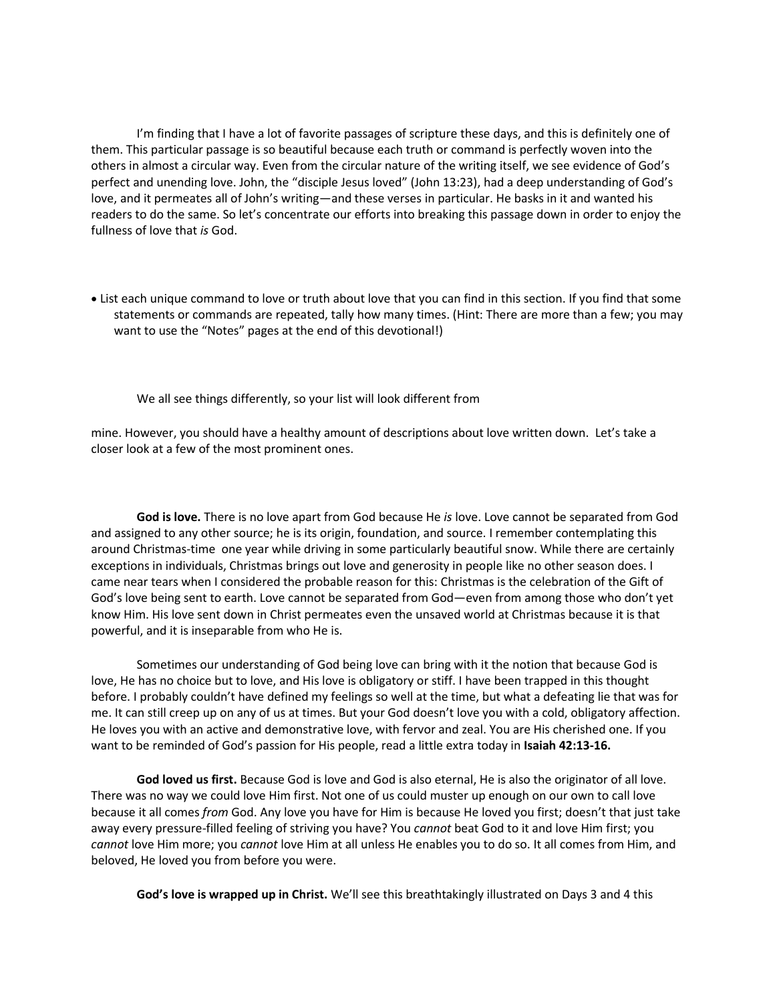I'm finding that I have a lot of favorite passages of scripture these days, and this is definitely one of them. This particular passage is so beautiful because each truth or command is perfectly woven into the others in almost a circular way. Even from the circular nature of the writing itself, we see evidence of God's perfect and unending love. John, the "disciple Jesus loved" (John 13:23), had a deep understanding of God's love, and it permeates all of John's writing—and these verses in particular. He basks in it and wanted his readers to do the same. So let's concentrate our efforts into breaking this passage down in order to enjoy the fullness of love that *is* God.

• List each unique command to love or truth about love that you can find in this section. If you find that some statements or commands are repeated, tally how many times. (Hint: There are more than a few; you may want to use the "Notes" pages at the end of this devotional!)

We all see things differently, so your list will look different from

mine. However, you should have a healthy amount of descriptions about love written down. Let's take a closer look at a few of the most prominent ones.

**God is love.** There is no love apart from God because He *is* love. Love cannot be separated from God and assigned to any other source; he is its origin, foundation, and source. I remember contemplating this around Christmas-time one year while driving in some particularly beautiful snow. While there are certainly exceptions in individuals, Christmas brings out love and generosity in people like no other season does. I came near tears when I considered the probable reason for this: Christmas is the celebration of the Gift of God's love being sent to earth. Love cannot be separated from God—even from among those who don't yet know Him. His love sent down in Christ permeates even the unsaved world at Christmas because it is that powerful, and it is inseparable from who He is.

Sometimes our understanding of God being love can bring with it the notion that because God is love, He has no choice but to love, and His love is obligatory or stiff. I have been trapped in this thought before. I probably couldn't have defined my feelings so well at the time, but what a defeating lie that was for me. It can still creep up on any of us at times. But your God doesn't love you with a cold, obligatory affection. He loves you with an active and demonstrative love, with fervor and zeal. You are His cherished one. If you want to be reminded of God's passion for His people, read a little extra today in **Isaiah 42:13-16.**

**God loved us first.** Because God is love and God is also eternal, He is also the originator of all love. There was no way we could love Him first. Not one of us could muster up enough on our own to call love because it all comes *from* God. Any love you have for Him is because He loved you first; doesn't that just take away every pressure-filled feeling of striving you have? You *cannot* beat God to it and love Him first; you *cannot* love Him more; you *cannot* love Him at all unless He enables you to do so. It all comes from Him, and beloved, He loved you from before you were.

**God's love is wrapped up in Christ.** We'll see this breathtakingly illustrated on Days 3 and 4 this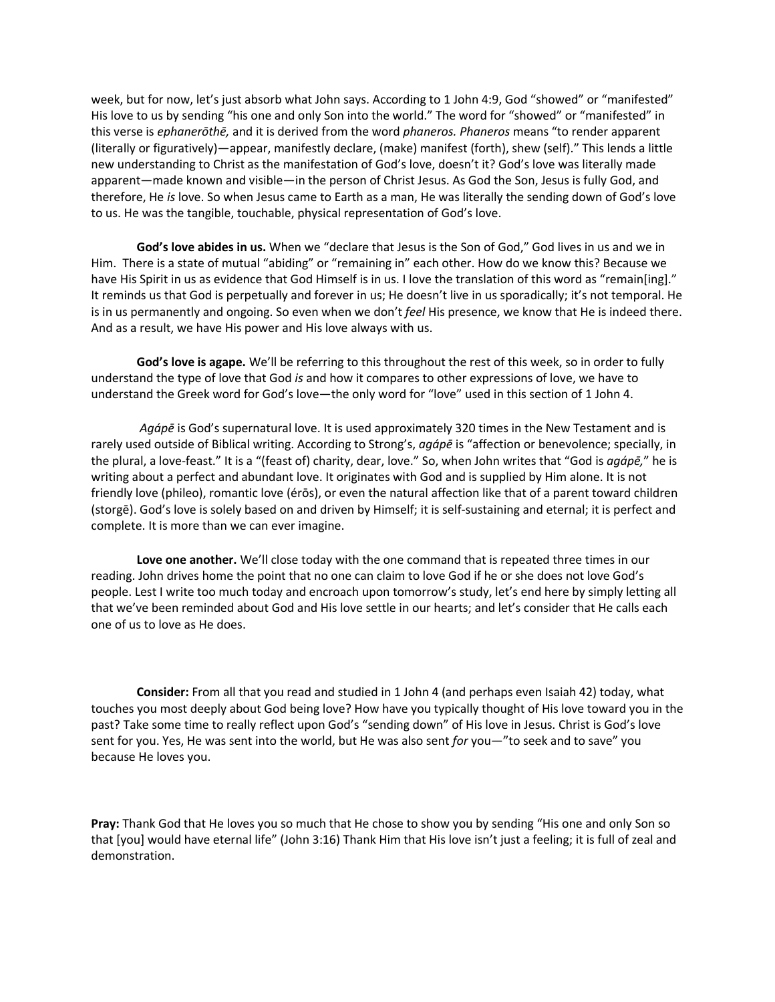week, but for now, let's just absorb what John says. According to 1 John 4:9, God "showed" or "manifested" His love to us by sending "his one and only Son into the world." The word for "showed" or "manifested" in this verse is *ephanerōthē,* and it is derived from the word *phaneros. Phaneros* means "to render apparent (literally or figuratively)—appear, manifestly declare, (make) manifest (forth), shew (self)." This lends a little new understanding to Christ as the manifestation of God's love, doesn't it? God's love was literally made apparent—made known and visible—in the person of Christ Jesus. As God the Son, Jesus is fully God, and therefore, He *is* love. So when Jesus came to Earth as a man, He was literally the sending down of God's love to us. He was the tangible, touchable, physical representation of God's love.

**God's love abides in us.** When we "declare that Jesus is the Son of God," God lives in us and we in Him. There is a state of mutual "abiding" or "remaining in" each other. How do we know this? Because we have His Spirit in us as evidence that God Himself is in us. I love the translation of this word as "remain[ing]." It reminds us that God is perpetually and forever in us; He doesn't live in us sporadically; it's not temporal. He is in us permanently and ongoing. So even when we don't *feel* His presence, we know that He is indeed there. And as a result, we have His power and His love always with us.

**God's love is agape.** We'll be referring to this throughout the rest of this week, so in order to fully understand the type of love that God *is* and how it compares to other expressions of love, we have to understand the Greek word for God's love—the only word for "love" used in this section of 1 John 4.

*Agápē* is God's supernatural love. It is used approximately 320 times in the New Testament and is rarely used outside of Biblical writing. According to Strong's, *agápē* is "affection or benevolence; specially, in the plural, a love-feast." It is a "(feast of) charity, dear, love." So, when John writes that "God is *agápē,*" he is writing about a perfect and abundant love. It originates with God and is supplied by Him alone. It is not friendly love (phileo), romantic love (érōs), or even the natural affection like that of a parent toward children (storgē). God's love is solely based on and driven by Himself; it is self-sustaining and eternal; it is perfect and complete. It is more than we can ever imagine.

**Love one another.** We'll close today with the one command that is repeated three times in our reading. John drives home the point that no one can claim to love God if he or she does not love God's people. Lest I write too much today and encroach upon tomorrow's study, let's end here by simply letting all that we've been reminded about God and His love settle in our hearts; and let's consider that He calls each one of us to love as He does.

**Consider:** From all that you read and studied in 1 John 4 (and perhaps even Isaiah 42) today, what touches you most deeply about God being love? How have you typically thought of His love toward you in the past? Take some time to really reflect upon God's "sending down" of His love in Jesus. Christ is God's love sent for you. Yes, He was sent into the world, but He was also sent *for* you—"to seek and to save" you because He loves you.

**Pray:** Thank God that He loves you so much that He chose to show you by sending "His one and only Son so that [you] would have eternal life" (John 3:16) Thank Him that His love isn't just a feeling; it is full of zeal and demonstration.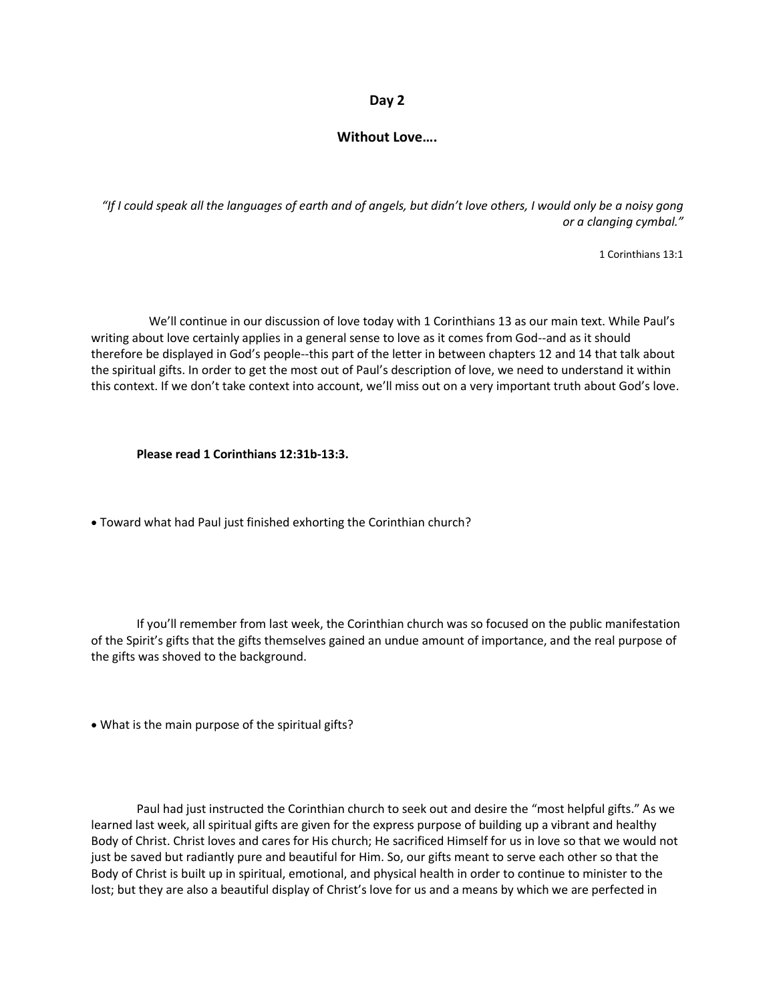#### **Day 2**

#### **Without Love….**

*"If I could speak all the languages of earth and of angels, but didn't love others, I would only be a noisy gong or a clanging cymbal."*

1 Corinthians 13:1

 We'll continue in our discussion of love today with 1 Corinthians 13 as our main text. While Paul's writing about love certainly applies in a general sense to love as it comes from God--and as it should therefore be displayed in God's people--this part of the letter in between chapters 12 and 14 that talk about the spiritual gifts. In order to get the most out of Paul's description of love, we need to understand it within this context. If we don't take context into account, we'll miss out on a very important truth about God's love.

#### **Please read 1 Corinthians 12:31b-13:3.**

• Toward what had Paul just finished exhorting the Corinthian church?

If you'll remember from last week, the Corinthian church was so focused on the public manifestation of the Spirit's gifts that the gifts themselves gained an undue amount of importance, and the real purpose of the gifts was shoved to the background.

• What is the main purpose of the spiritual gifts?

Paul had just instructed the Corinthian church to seek out and desire the "most helpful gifts." As we learned last week, all spiritual gifts are given for the express purpose of building up a vibrant and healthy Body of Christ. Christ loves and cares for His church; He sacrificed Himself for us in love so that we would not just be saved but radiantly pure and beautiful for Him. So, our gifts meant to serve each other so that the Body of Christ is built up in spiritual, emotional, and physical health in order to continue to minister to the lost; but they are also a beautiful display of Christ's love for us and a means by which we are perfected in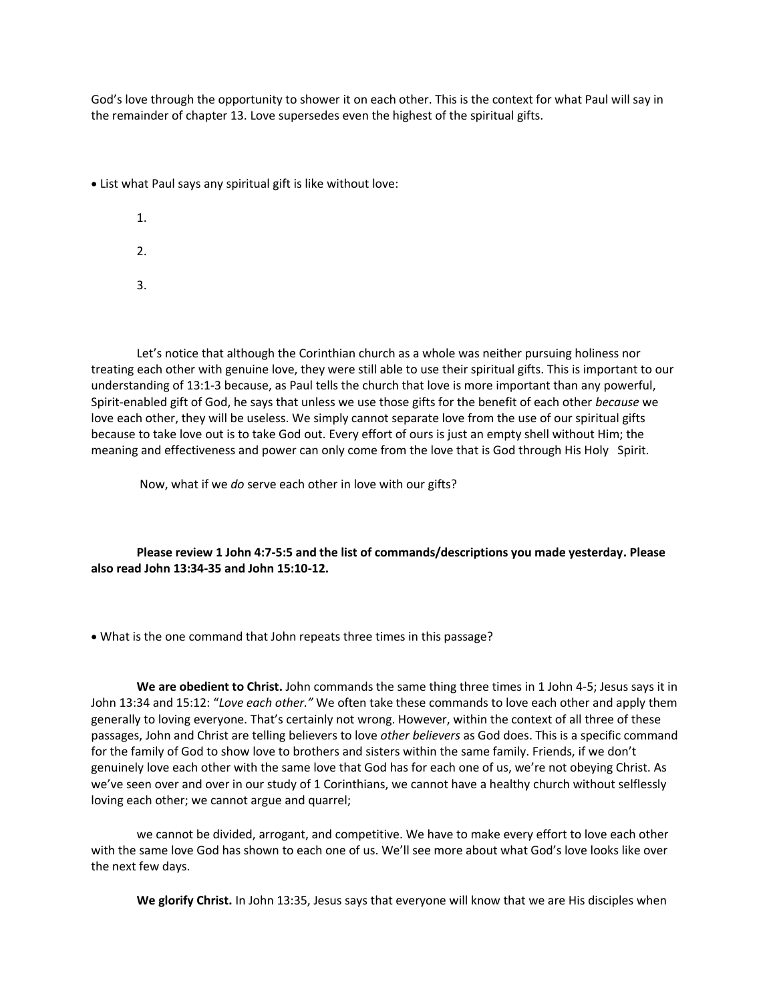God's love through the opportunity to shower it on each other. This is the context for what Paul will say in the remainder of chapter 13. Love supersedes even the highest of the spiritual gifts.

• List what Paul says any spiritual gift is like without love:

1. 2.

3.

Let's notice that although the Corinthian church as a whole was neither pursuing holiness nor treating each other with genuine love, they were still able to use their spiritual gifts. This is important to our understanding of 13:1-3 because, as Paul tells the church that love is more important than any powerful, Spirit-enabled gift of God, he says that unless we use those gifts for the benefit of each other *because* we love each other, they will be useless. We simply cannot separate love from the use of our spiritual gifts because to take love out is to take God out. Every effort of ours is just an empty shell without Him; the meaning and effectiveness and power can only come from the love that is God through His Holy Spirit.

Now, what if we *do* serve each other in love with our gifts?

**Please review 1 John 4:7-5:5 and the list of commands/descriptions you made yesterday. Please also read John 13:34-35 and John 15:10-12.**

• What is the one command that John repeats three times in this passage?

**We are obedient to Christ.** John commands the same thing three times in 1 John 4-5; Jesus says it in John 13:34 and 15:12: "*Love each other."* We often take these commands to love each other and apply them generally to loving everyone. That's certainly not wrong. However, within the context of all three of these passages, John and Christ are telling believers to love *other believers* as God does. This is a specific command for the family of God to show love to brothers and sisters within the same family. Friends, if we don't genuinely love each other with the same love that God has for each one of us, we're not obeying Christ. As we've seen over and over in our study of 1 Corinthians, we cannot have a healthy church without selflessly loving each other; we cannot argue and quarrel;

we cannot be divided, arrogant, and competitive. We have to make every effort to love each other with the same love God has shown to each one of us. We'll see more about what God's love looks like over the next few days.

**We glorify Christ.** In John 13:35, Jesus says that everyone will know that we are His disciples when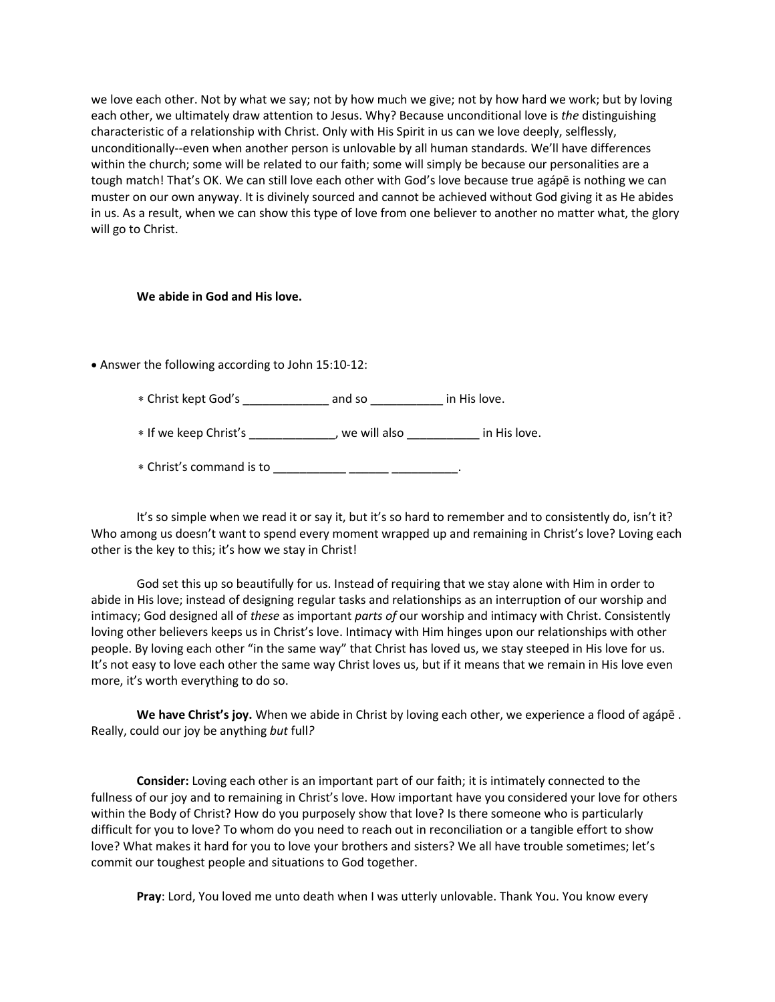we love each other. Not by what we say; not by how much we give; not by how hard we work; but by loving each other, we ultimately draw attention to Jesus. Why? Because unconditional love is *the* distinguishing characteristic of a relationship with Christ. Only with His Spirit in us can we love deeply, selflessly, unconditionally--even when another person is unlovable by all human standards. We'll have differences within the church; some will be related to our faith; some will simply be because our personalities are a tough match! That's OK. We can still love each other with God's love because true agápē is nothing we can muster on our own anyway. It is divinely sourced and cannot be achieved without God giving it as He abides in us. As a result, when we can show this type of love from one believer to another no matter what, the glory will go to Christ.

#### **We abide in God and His love.**

• Answer the following according to John 15:10-12:

Christ kept God's \_\_\_\_\_\_\_\_\_\_\_\_\_ and so \_\_\_\_\_\_\_\_\_\_\_ in His love.

\* If we keep Christ's \_\_\_\_\_\_\_\_\_\_\_\_, we will also \_\_\_\_\_\_\_\_\_\_\_\_ in His love.

Christ's command is to \_\_\_\_\_\_\_\_\_\_\_ \_\_\_\_\_\_ \_\_\_\_\_\_\_\_\_\_.

It's so simple when we read it or say it, but it's so hard to remember and to consistently do, isn't it? Who among us doesn't want to spend every moment wrapped up and remaining in Christ's love? Loving each other is the key to this; it's how we stay in Christ!

God set this up so beautifully for us. Instead of requiring that we stay alone with Him in order to abide in His love; instead of designing regular tasks and relationships as an interruption of our worship and intimacy; God designed all of *these* as important *parts of* our worship and intimacy with Christ. Consistently loving other believers keeps us in Christ's love. Intimacy with Him hinges upon our relationships with other people. By loving each other "in the same way" that Christ has loved us, we stay steeped in His love for us. It's not easy to love each other the same way Christ loves us, but if it means that we remain in His love even more, it's worth everything to do so.

**We have Christ's joy.** When we abide in Christ by loving each other, we experience a flood of agápē . Really, could our joy be anything *but* full*?*

**Consider:** Loving each other is an important part of our faith; it is intimately connected to the fullness of our joy and to remaining in Christ's love. How important have you considered your love for others within the Body of Christ? How do you purposely show that love? Is there someone who is particularly difficult for you to love? To whom do you need to reach out in reconciliation or a tangible effort to show love? What makes it hard for you to love your brothers and sisters? We all have trouble sometimes; let's commit our toughest people and situations to God together.

**Pray**: Lord, You loved me unto death when I was utterly unlovable. Thank You. You know every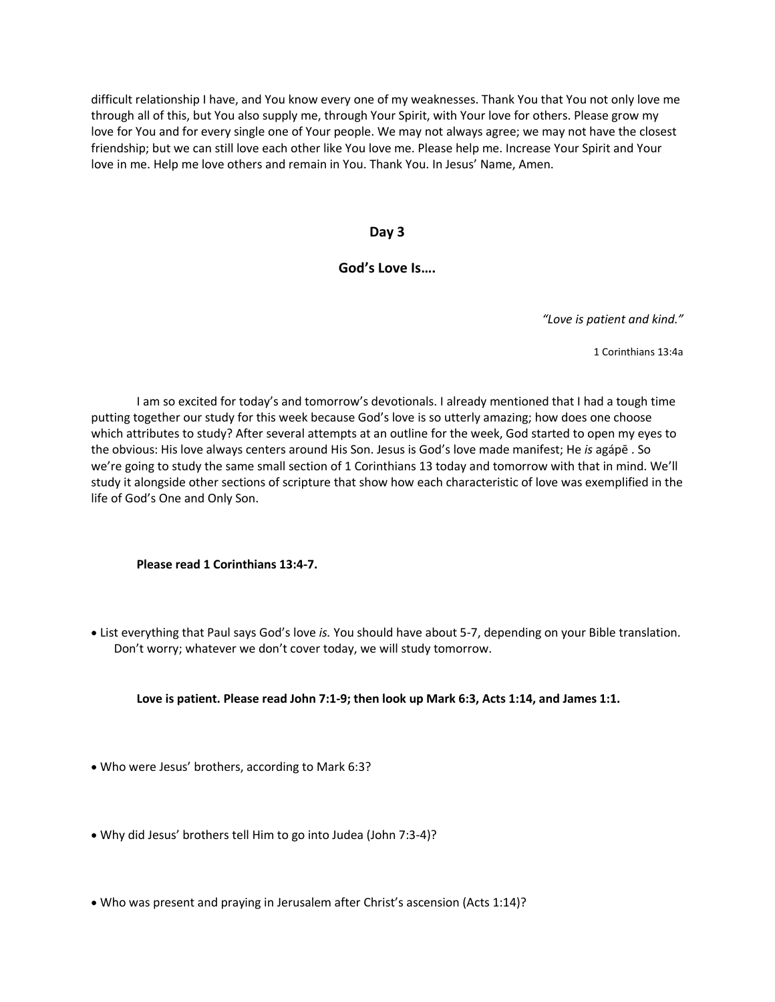difficult relationship I have, and You know every one of my weaknesses. Thank You that You not only love me through all of this, but You also supply me, through Your Spirit, with Your love for others. Please grow my love for You and for every single one of Your people. We may not always agree; we may not have the closest friendship; but we can still love each other like You love me. Please help me. Increase Your Spirit and Your love in me. Help me love others and remain in You. Thank You. In Jesus' Name, Amen.

#### **Day 3**

#### **God's Love Is….**

*"Love is patient and kind."*

1 Corinthians 13:4a

I am so excited for today's and tomorrow's devotionals. I already mentioned that I had a tough time putting together our study for this week because God's love is so utterly amazing; how does one choose which attributes to study? After several attempts at an outline for the week, God started to open my eyes to the obvious: His love always centers around His Son. Jesus is God's love made manifest; He *is* agápē . So we're going to study the same small section of 1 Corinthians 13 today and tomorrow with that in mind. We'll study it alongside other sections of scripture that show how each characteristic of love was exemplified in the life of God's One and Only Son.

#### **Please read 1 Corinthians 13:4-7.**

• List everything that Paul says God's love *is.* You should have about 5-7, depending on your Bible translation. Don't worry; whatever we don't cover today, we will study tomorrow.

#### **Love is patient. Please read John 7:1-9; then look up Mark 6:3, Acts 1:14, and James 1:1.**

- Who were Jesus' brothers, according to Mark 6:3?
- Why did Jesus' brothers tell Him to go into Judea (John 7:3-4)?
- Who was present and praying in Jerusalem after Christ's ascension (Acts 1:14)?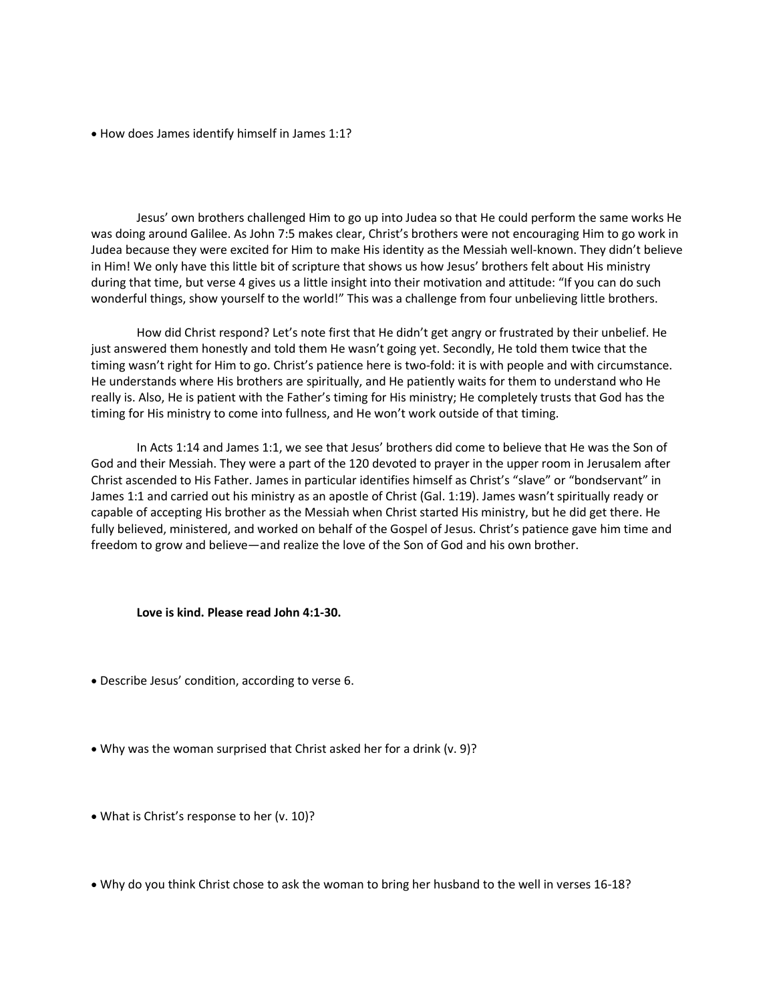• How does James identify himself in James 1:1?

Jesus' own brothers challenged Him to go up into Judea so that He could perform the same works He was doing around Galilee. As John 7:5 makes clear, Christ's brothers were not encouraging Him to go work in Judea because they were excited for Him to make His identity as the Messiah well-known. They didn't believe in Him! We only have this little bit of scripture that shows us how Jesus' brothers felt about His ministry during that time, but verse 4 gives us a little insight into their motivation and attitude: "If you can do such wonderful things, show yourself to the world!" This was a challenge from four unbelieving little brothers.

How did Christ respond? Let's note first that He didn't get angry or frustrated by their unbelief. He just answered them honestly and told them He wasn't going yet. Secondly, He told them twice that the timing wasn't right for Him to go. Christ's patience here is two-fold: it is with people and with circumstance. He understands where His brothers are spiritually, and He patiently waits for them to understand who He really is. Also, He is patient with the Father's timing for His ministry; He completely trusts that God has the timing for His ministry to come into fullness, and He won't work outside of that timing.

In Acts 1:14 and James 1:1, we see that Jesus' brothers did come to believe that He was the Son of God and their Messiah. They were a part of the 120 devoted to prayer in the upper room in Jerusalem after Christ ascended to His Father. James in particular identifies himself as Christ's "slave" or "bondservant" in James 1:1 and carried out his ministry as an apostle of Christ (Gal. 1:19). James wasn't spiritually ready or capable of accepting His brother as the Messiah when Christ started His ministry, but he did get there. He fully believed, ministered, and worked on behalf of the Gospel of Jesus. Christ's patience gave him time and freedom to grow and believe—and realize the love of the Son of God and his own brother.

#### **Love is kind. Please read John 4:1-30.**

- Describe Jesus' condition, according to verse 6.
- Why was the woman surprised that Christ asked her for a drink (v. 9)?
- What is Christ's response to her (v. 10)?
- Why do you think Christ chose to ask the woman to bring her husband to the well in verses 16-18?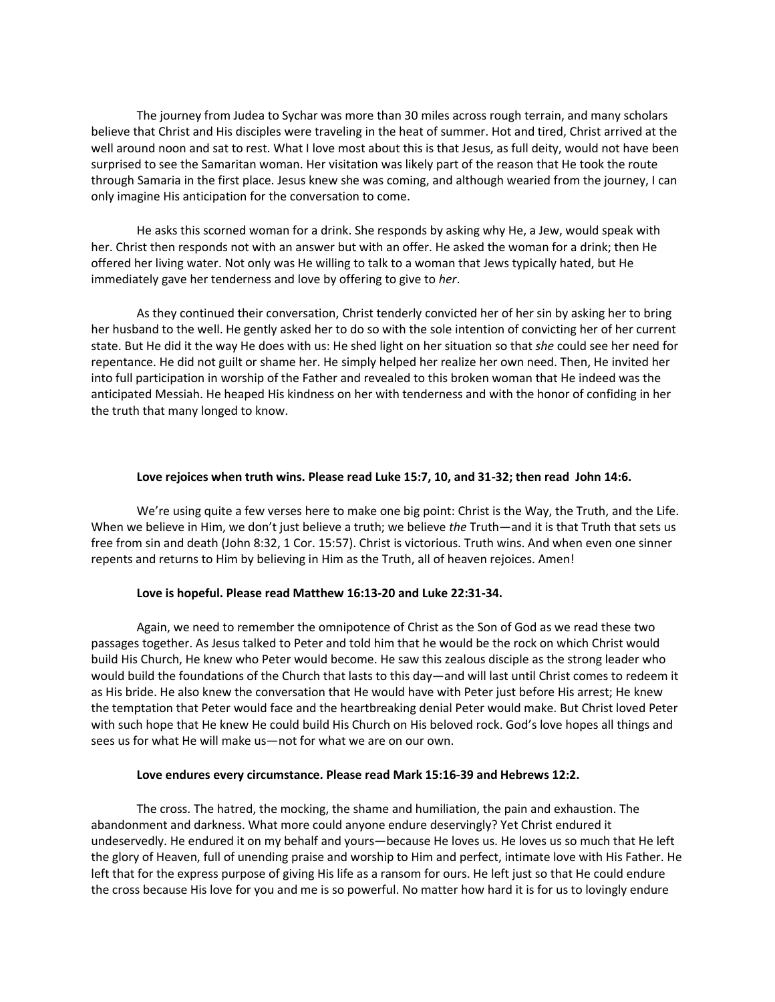The journey from Judea to Sychar was more than 30 miles across rough terrain, and many scholars believe that Christ and His disciples were traveling in the heat of summer. Hot and tired, Christ arrived at the well around noon and sat to rest. What I love most about this is that Jesus, as full deity, would not have been surprised to see the Samaritan woman. Her visitation was likely part of the reason that He took the route through Samaria in the first place. Jesus knew she was coming, and although wearied from the journey, I can only imagine His anticipation for the conversation to come.

He asks this scorned woman for a drink. She responds by asking why He, a Jew, would speak with her. Christ then responds not with an answer but with an offer. He asked the woman for a drink; then He offered her living water. Not only was He willing to talk to a woman that Jews typically hated, but He immediately gave her tenderness and love by offering to give to *her*.

As they continued their conversation, Christ tenderly convicted her of her sin by asking her to bring her husband to the well. He gently asked her to do so with the sole intention of convicting her of her current state. But He did it the way He does with us: He shed light on her situation so that *she* could see her need for repentance. He did not guilt or shame her. He simply helped her realize her own need. Then, He invited her into full participation in worship of the Father and revealed to this broken woman that He indeed was the anticipated Messiah. He heaped His kindness on her with tenderness and with the honor of confiding in her the truth that many longed to know.

#### **Love rejoices when truth wins. Please read Luke 15:7, 10, and 31-32; then read John 14:6.**

We're using quite a few verses here to make one big point: Christ is the Way, the Truth, and the Life. When we believe in Him, we don't just believe a truth; we believe *the* Truth—and it is that Truth that sets us free from sin and death (John 8:32, 1 Cor. 15:57). Christ is victorious. Truth wins. And when even one sinner repents and returns to Him by believing in Him as the Truth, all of heaven rejoices. Amen!

#### **Love is hopeful. Please read Matthew 16:13-20 and Luke 22:31-34.**

Again, we need to remember the omnipotence of Christ as the Son of God as we read these two passages together. As Jesus talked to Peter and told him that he would be the rock on which Christ would build His Church, He knew who Peter would become. He saw this zealous disciple as the strong leader who would build the foundations of the Church that lasts to this day—and will last until Christ comes to redeem it as His bride. He also knew the conversation that He would have with Peter just before His arrest; He knew the temptation that Peter would face and the heartbreaking denial Peter would make. But Christ loved Peter with such hope that He knew He could build His Church on His beloved rock. God's love hopes all things and sees us for what He will make us—not for what we are on our own.

#### **Love endures every circumstance. Please read Mark 15:16-39 and Hebrews 12:2.**

The cross. The hatred, the mocking, the shame and humiliation, the pain and exhaustion. The abandonment and darkness. What more could anyone endure deservingly? Yet Christ endured it undeservedly. He endured it on my behalf and yours—because He loves us. He loves us so much that He left the glory of Heaven, full of unending praise and worship to Him and perfect, intimate love with His Father. He left that for the express purpose of giving His life as a ransom for ours. He left just so that He could endure the cross because His love for you and me is so powerful. No matter how hard it is for us to lovingly endure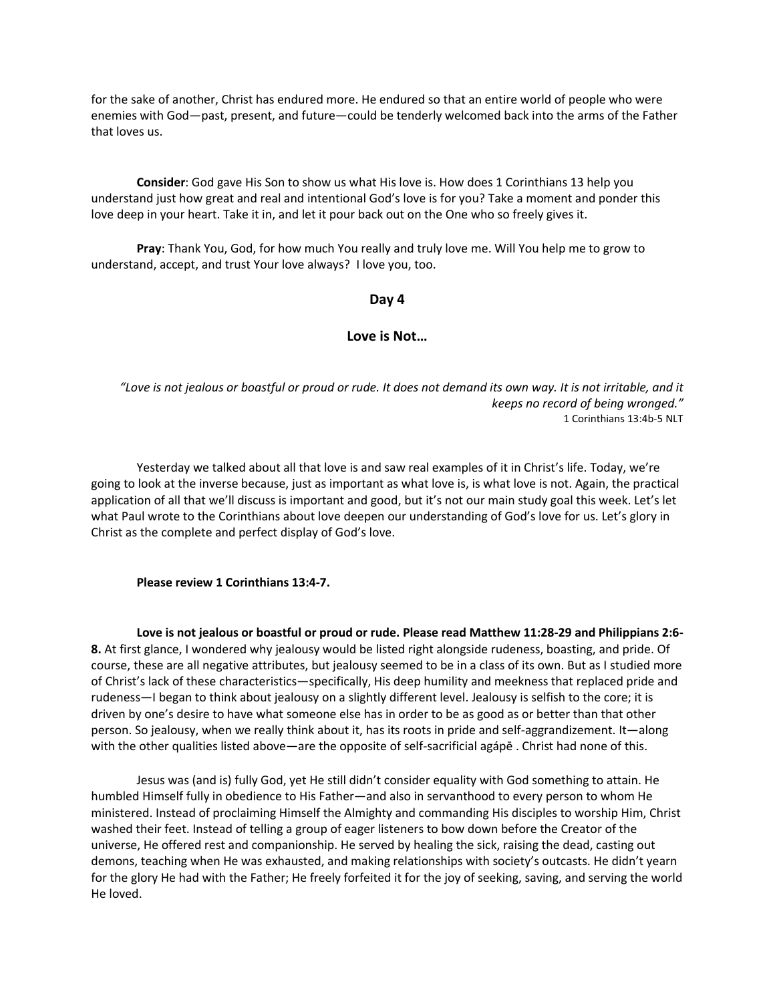for the sake of another, Christ has endured more. He endured so that an entire world of people who were enemies with God—past, present, and future—could be tenderly welcomed back into the arms of the Father that loves us.

**Consider**: God gave His Son to show us what His love is. How does 1 Corinthians 13 help you understand just how great and real and intentional God's love is for you? Take a moment and ponder this love deep in your heart. Take it in, and let it pour back out on the One who so freely gives it.

**Pray**: Thank You, God, for how much You really and truly love me. Will You help me to grow to understand, accept, and trust Your love always? I love you, too.

#### **Day 4**

#### **Love is Not…**

*"Love is not jealous or boastful or proud or rude. It does not demand its own way. It is not irritable, and it keeps no record of being wronged."* 1 Corinthians 13:4b-5 NLT

Yesterday we talked about all that love is and saw real examples of it in Christ's life. Today, we're going to look at the inverse because, just as important as what love is, is what love is not. Again, the practical application of all that we'll discuss is important and good, but it's not our main study goal this week. Let's let what Paul wrote to the Corinthians about love deepen our understanding of God's love for us. Let's glory in Christ as the complete and perfect display of God's love.

#### **Please review 1 Corinthians 13:4-7.**

**Love is not jealous or boastful or proud or rude. Please read Matthew 11:28-29 and Philippians 2:6- 8.** At first glance, I wondered why jealousy would be listed right alongside rudeness, boasting, and pride. Of course, these are all negative attributes, but jealousy seemed to be in a class of its own. But as I studied more of Christ's lack of these characteristics—specifically, His deep humility and meekness that replaced pride and rudeness—I began to think about jealousy on a slightly different level. Jealousy is selfish to the core; it is driven by one's desire to have what someone else has in order to be as good as or better than that other person. So jealousy, when we really think about it, has its roots in pride and self-aggrandizement. It—along with the other qualities listed above—are the opposite of self-sacrificial agápē . Christ had none of this.

Jesus was (and is) fully God, yet He still didn't consider equality with God something to attain. He humbled Himself fully in obedience to His Father—and also in servanthood to every person to whom He ministered. Instead of proclaiming Himself the Almighty and commanding His disciples to worship Him, Christ washed their feet. Instead of telling a group of eager listeners to bow down before the Creator of the universe, He offered rest and companionship. He served by healing the sick, raising the dead, casting out demons, teaching when He was exhausted, and making relationships with society's outcasts. He didn't yearn for the glory He had with the Father; He freely forfeited it for the joy of seeking, saving, and serving the world He loved.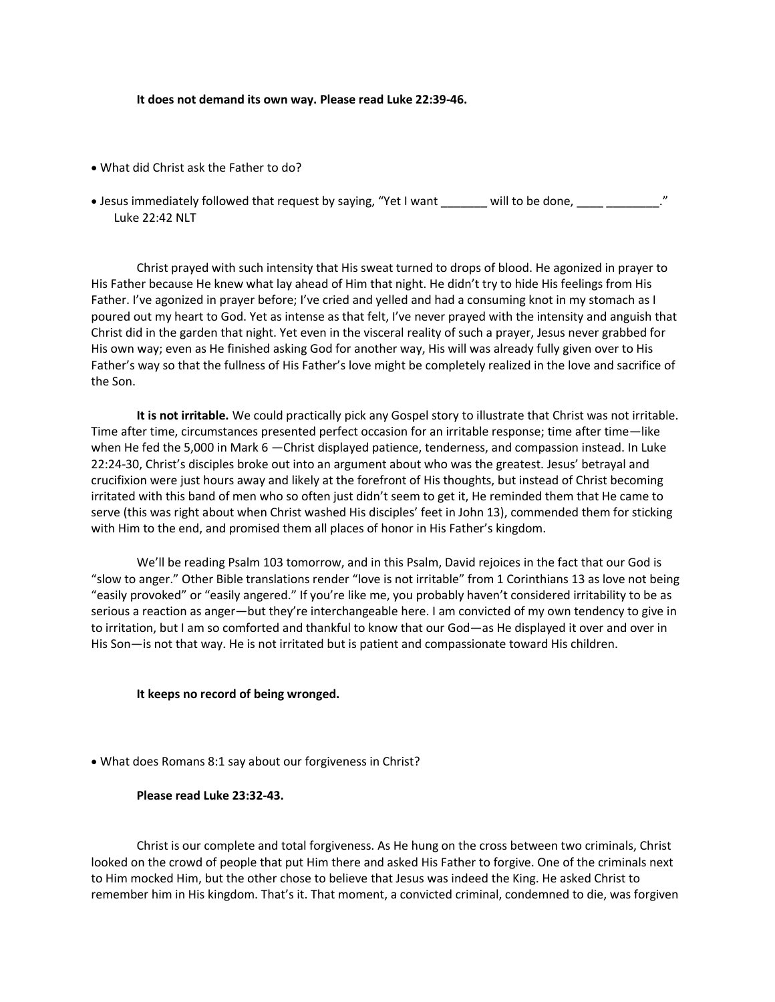**It does not demand its own way. Please read Luke 22:39-46.**

- What did Christ ask the Father to do?
- Jesus immediately followed that request by saying, "Yet I want \_\_\_\_\_\_\_ will to be done, \_\_\_\_ \_\_\_\_\_\_\_\_\_." Luke 22:42 NLT

Christ prayed with such intensity that His sweat turned to drops of blood. He agonized in prayer to His Father because He knew what lay ahead of Him that night. He didn't try to hide His feelings from His Father. I've agonized in prayer before; I've cried and yelled and had a consuming knot in my stomach as I poured out my heart to God. Yet as intense as that felt, I've never prayed with the intensity and anguish that Christ did in the garden that night. Yet even in the visceral reality of such a prayer, Jesus never grabbed for His own way; even as He finished asking God for another way, His will was already fully given over to His Father's way so that the fullness of His Father's love might be completely realized in the love and sacrifice of the Son.

**It is not irritable.** We could practically pick any Gospel story to illustrate that Christ was not irritable. Time after time, circumstances presented perfect occasion for an irritable response; time after time—like when He fed the 5,000 in Mark 6 —Christ displayed patience, tenderness, and compassion instead. In Luke 22:24-30, Christ's disciples broke out into an argument about who was the greatest. Jesus' betrayal and crucifixion were just hours away and likely at the forefront of His thoughts, but instead of Christ becoming irritated with this band of men who so often just didn't seem to get it, He reminded them that He came to serve (this was right about when Christ washed His disciples' feet in John 13), commended them for sticking with Him to the end, and promised them all places of honor in His Father's kingdom.

We'll be reading Psalm 103 tomorrow, and in this Psalm, David rejoices in the fact that our God is "slow to anger." Other Bible translations render "love is not irritable" from 1 Corinthians 13 as love not being "easily provoked" or "easily angered." If you're like me, you probably haven't considered irritability to be as serious a reaction as anger—but they're interchangeable here. I am convicted of my own tendency to give in to irritation, but I am so comforted and thankful to know that our God—as He displayed it over and over in His Son—is not that way. He is not irritated but is patient and compassionate toward His children.

#### **It keeps no record of being wronged.**

• What does Romans 8:1 say about our forgiveness in Christ?

#### **Please read Luke 23:32-43.**

Christ is our complete and total forgiveness. As He hung on the cross between two criminals, Christ looked on the crowd of people that put Him there and asked His Father to forgive. One of the criminals next to Him mocked Him, but the other chose to believe that Jesus was indeed the King. He asked Christ to remember him in His kingdom. That's it. That moment, a convicted criminal, condemned to die, was forgiven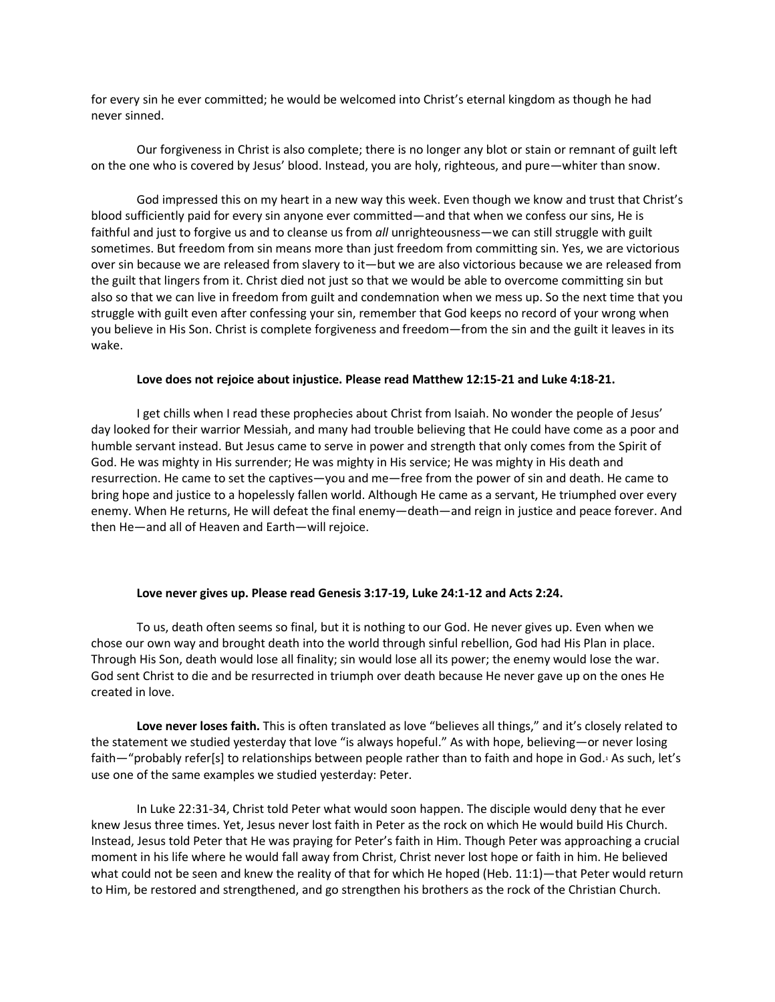for every sin he ever committed; he would be welcomed into Christ's eternal kingdom as though he had never sinned.

Our forgiveness in Christ is also complete; there is no longer any blot or stain or remnant of guilt left on the one who is covered by Jesus' blood. Instead, you are holy, righteous, and pure—whiter than snow.

God impressed this on my heart in a new way this week. Even though we know and trust that Christ's blood sufficiently paid for every sin anyone ever committed—and that when we confess our sins, He is faithful and just to forgive us and to cleanse us from *all* unrighteousness*—*we can still struggle with guilt sometimes. But freedom from sin means more than just freedom from committing sin. Yes, we are victorious over sin because we are released from slavery to it—but we are also victorious because we are released from the guilt that lingers from it. Christ died not just so that we would be able to overcome committing sin but also so that we can live in freedom from guilt and condemnation when we mess up. So the next time that you struggle with guilt even after confessing your sin, remember that God keeps no record of your wrong when you believe in His Son. Christ is complete forgiveness and freedom—from the sin and the guilt it leaves in its wake.

#### **Love does not rejoice about injustice. Please read Matthew 12:15-21 and Luke 4:18-21.**

I get chills when I read these prophecies about Christ from Isaiah. No wonder the people of Jesus' day looked for their warrior Messiah, and many had trouble believing that He could have come as a poor and humble servant instead. But Jesus came to serve in power and strength that only comes from the Spirit of God. He was mighty in His surrender; He was mighty in His service; He was mighty in His death and resurrection. He came to set the captives—you and me—free from the power of sin and death. He came to bring hope and justice to a hopelessly fallen world. Although He came as a servant, He triumphed over every enemy. When He returns, He will defeat the final enemy—death—and reign in justice and peace forever. And then He—and all of Heaven and Earth—will rejoice.

#### **Love never gives up. Please read Genesis 3:17-19, Luke 24:1-12 and Acts 2:24.**

To us, death often seems so final, but it is nothing to our God. He never gives up. Even when we chose our own way and brought death into the world through sinful rebellion, God had His Plan in place. Through His Son, death would lose all finality; sin would lose all its power; the enemy would lose the war. God sent Christ to die and be resurrected in triumph over death because He never gave up on the ones He created in love.

**Love never loses faith.** This is often translated as love "believes all things," and it's closely related to the statement we studied yesterday that love "is always hopeful." As with hope, believing—or never losing faith—"probably refer[s] to relationships between people rather than to faith and hope in God.1 As such, let's use one of the same examples we studied yesterday: Peter.

In Luke 22:31-34, Christ told Peter what would soon happen. The disciple would deny that he ever knew Jesus three times. Yet, Jesus never lost faith in Peter as the rock on which He would build His Church. Instead, Jesus told Peter that He was praying for Peter's faith in Him. Though Peter was approaching a crucial moment in his life where he would fall away from Christ, Christ never lost hope or faith in him. He believed what could not be seen and knew the reality of that for which He hoped (Heb. 11:1)—that Peter would return to Him, be restored and strengthened, and go strengthen his brothers as the rock of the Christian Church.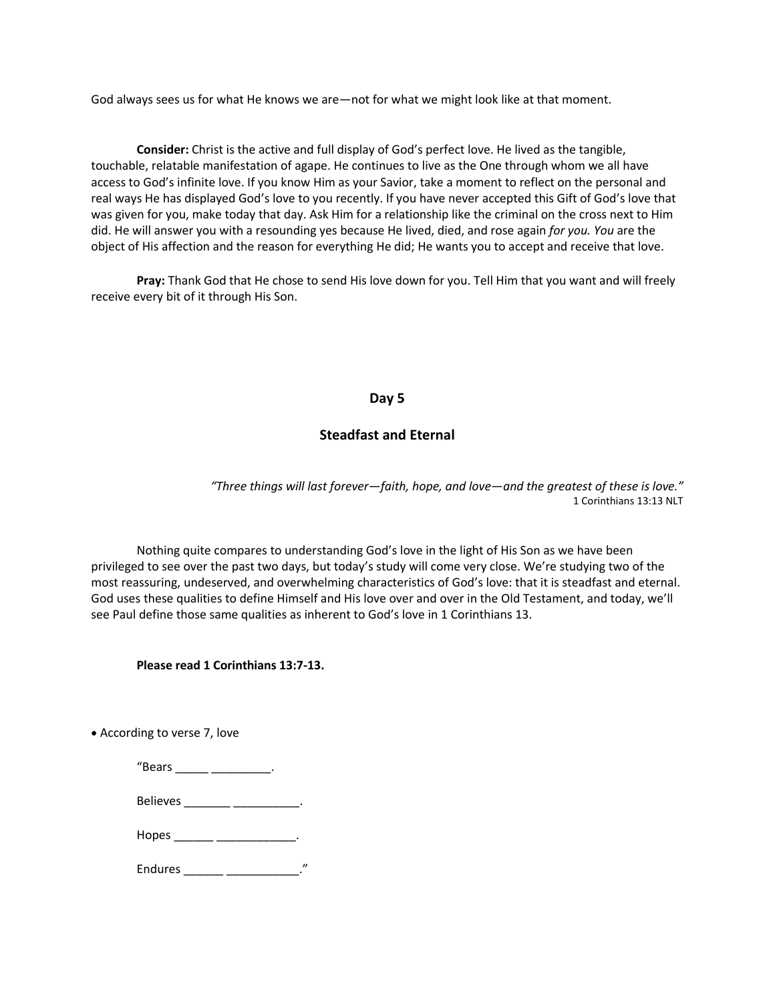God always sees us for what He knows we are—not for what we might look like at that moment.

**Consider:** Christ is the active and full display of God's perfect love. He lived as the tangible, touchable, relatable manifestation of agape. He continues to live as the One through whom we all have access to God's infinite love. If you know Him as your Savior, take a moment to reflect on the personal and real ways He has displayed God's love to you recently. If you have never accepted this Gift of God's love that was given for you, make today that day. Ask Him for a relationship like the criminal on the cross next to Him did. He will answer you with a resounding yes because He lived, died, and rose again *for you. You* are the object of His affection and the reason for everything He did; He wants you to accept and receive that love.

**Pray:** Thank God that He chose to send His love down for you. Tell Him that you want and will freely receive every bit of it through His Son.

#### **Day 5**

#### **Steadfast and Eternal**

*"Three things will last forever—faith, hope, and love—and the greatest of these is love."* 1 Corinthians 13:13 NLT

Nothing quite compares to understanding God's love in the light of His Son as we have been privileged to see over the past two days, but today's study will come very close. We're studying two of the most reassuring, undeserved, and overwhelming characteristics of God's love: that it is steadfast and eternal. God uses these qualities to define Himself and His love over and over in the Old Testament, and today, we'll see Paul define those same qualities as inherent to God's love in 1 Corinthians 13.

#### **Please read 1 Corinthians 13:7-13.**

• According to verse 7, love

| "Bears         |  |
|----------------|--|
| Believes       |  |
| Hopes_         |  |
| <b>Endures</b> |  |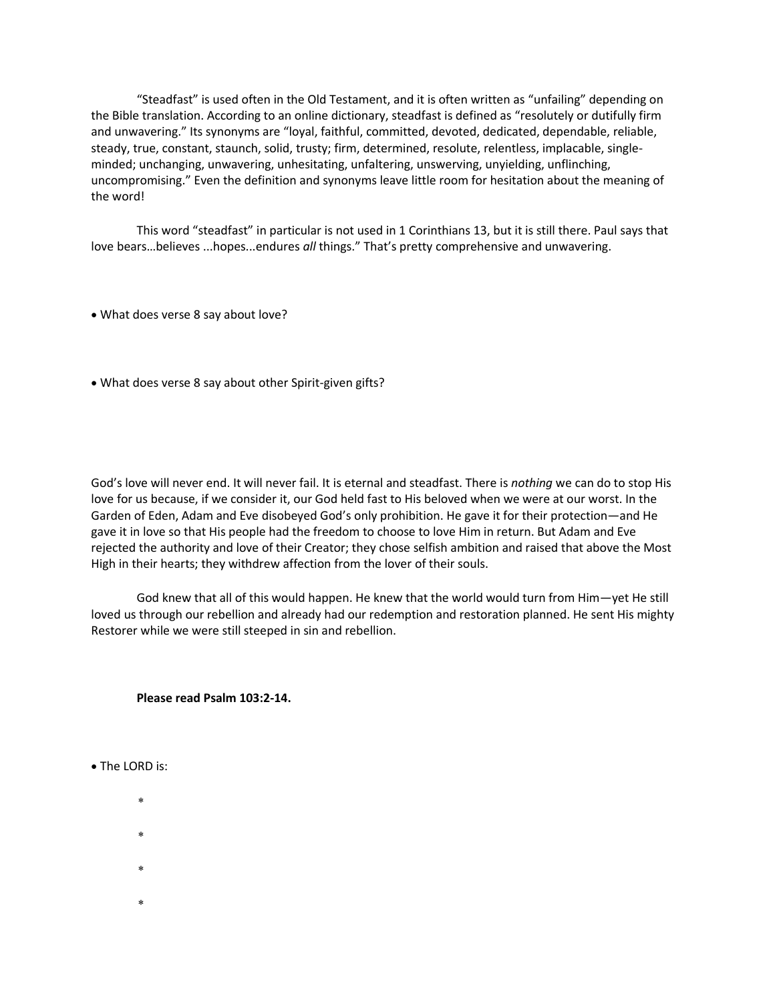"Steadfast" is used often in the Old Testament, and it is often written as "unfailing" depending on the Bible translation. According to an online dictionary, steadfast is defined as "resolutely or dutifully firm and unwavering." Its synonyms are "loyal, faithful, committed, devoted, dedicated, dependable, reliable, steady, true, constant, staunch, solid, trusty; firm, determined, resolute, relentless, implacable, singleminded; unchanging, unwavering, unhesitating, unfaltering, unswerving, unyielding, unflinching, uncompromising." Even the definition and synonyms leave little room for hesitation about the meaning of the word!

This word "steadfast" in particular is not used in 1 Corinthians 13, but it is still there. Paul says that love bears…believes ...hopes...endures *all* things." That's pretty comprehensive and unwavering.

- What does verse 8 say about love?
- What does verse 8 say about other Spirit-given gifts?

God's love will never end. It will never fail. It is eternal and steadfast. There is *nothing* we can do to stop His love for us because, if we consider it, our God held fast to His beloved when we were at our worst. In the Garden of Eden, Adam and Eve disobeyed God's only prohibition. He gave it for their protection—and He gave it in love so that His people had the freedom to choose to love Him in return. But Adam and Eve rejected the authority and love of their Creator; they chose selfish ambition and raised that above the Most High in their hearts; they withdrew affection from the lover of their souls.

God knew that all of this would happen. He knew that the world would turn from Him—yet He still loved us through our rebellion and already had our redemption and restoration planned. He sent His mighty Restorer while we were still steeped in sin and rebellion.

#### **Please read Psalm 103:2-14.**

- The LORD is:
	- $\star$
	- $\star$
	-
	- sk.
	- ×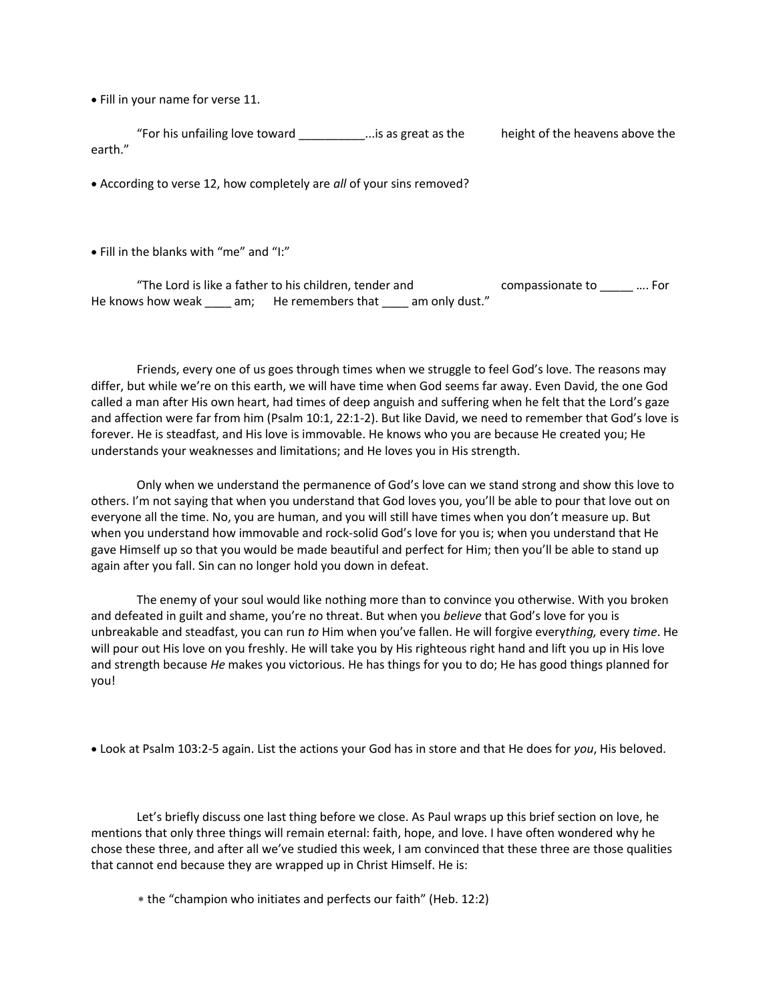• Fill in your name for verse 11.

"For his unfailing love toward \_\_\_\_\_\_\_\_\_\_\_\_...is as great as the height of the heavens above the earth."

• According to verse 12, how completely are *all* of your sins removed?

• Fill in the blanks with "me" and "I:"

"The Lord is like a father to his children, tender and compassionate to \_\_\_\_\_ …. For He knows how weak am; He remembers that am only dust."

Friends, every one of us goes through times when we struggle to feel God's love. The reasons may differ, but while we're on this earth, we will have time when God seems far away. Even David, the one God called a man after His own heart, had times of deep anguish and suffering when he felt that the Lord's gaze and affection were far from him (Psalm 10:1, 22:1-2). But like David, we need to remember that God's love is forever. He is steadfast, and His love is immovable. He knows who you are because He created you; He understands your weaknesses and limitations; and He loves you in His strength.

Only when we understand the permanence of God's love can we stand strong and show this love to others. I'm not saying that when you understand that God loves you, you'll be able to pour that love out on everyone all the time. No, you are human, and you will still have times when you don't measure up. But when you understand how immovable and rock-solid God's love for you is; when you understand that He gave Himself up so that you would be made beautiful and perfect for Him; then you'll be able to stand up again after you fall. Sin can no longer hold you down in defeat.

The enemy of your soul would like nothing more than to convince you otherwise. With you broken and defeated in guilt and shame, you're no threat. But when you *believe* that God's love for you is unbreakable and steadfast, you can run *to* Him when you've fallen. He will forgive every*thing,* every *time*. He will pour out His love on you freshly. He will take you by His righteous right hand and lift you up in His love and strength because *He* makes you victorious. He has things for you to do; He has good things planned for you!

• Look at Psalm 103:2-5 again. List the actions your God has in store and that He does for *you*, His beloved.

Let's briefly discuss one last thing before we close. As Paul wraps up this brief section on love, he mentions that only three things will remain eternal: faith, hope, and love. I have often wondered why he chose these three, and after all we've studied this week, I am convinced that these three are those qualities that cannot end because they are wrapped up in Christ Himself. He is:

the "champion who initiates and perfects our faith" (Heb. 12:2)